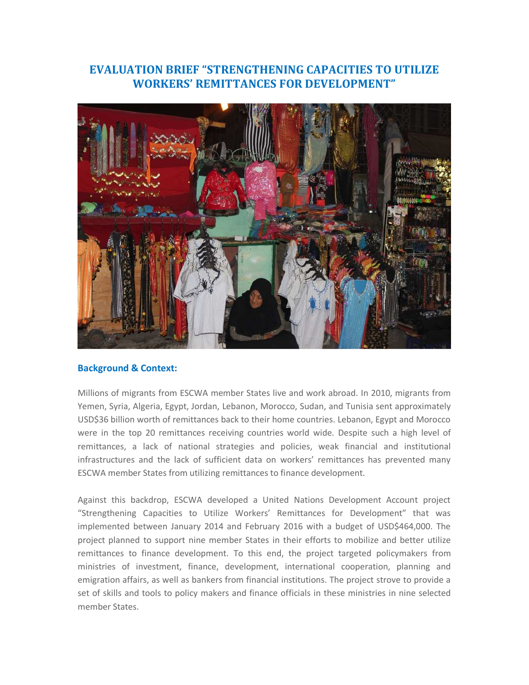# **EVALUATION BRIEF "STRENGTHENING CAPACITIES TO UTILIZE WORKERS' REMITTANCES FOR DEVELOPMENT"**



#### **Background & Context:**

Millions of migrants from ESCWA member States live and work abroad. In 2010, migrants from Yemen, Syria, Algeria, Egypt, Jordan, Lebanon, Morocco, Sudan, and Tunisia sent approximately USD\$36 billion worth of remittances back to their home countries. Lebanon, Egypt and Morocco were in the top 20 remittances receiving countries world wide. Despite such a high level of remittances, a lack of national strategies and policies, weak financial and institutional infrastructures and the lack of sufficient data on workers' remittances has prevented many ESCWA member States from utilizing remittances to finance development.

Against this backdrop, ESCWA developed a United Nations Development Account project "Strengthening Capacities to Utilize Workers' Remittances for Development" that was implemented between January 2014 and February 2016 with a budget of USD\$464,000. The project planned to support nine member States in their efforts to mobilize and better utilize remittances to finance development. To this end, the project targeted policymakers from ministries of investment, finance, development, international cooperation, planning and emigration affairs, as well as bankers from financial institutions. The project strove to provide a set of skills and tools to policy makers and finance officials in these ministries in nine selected member States.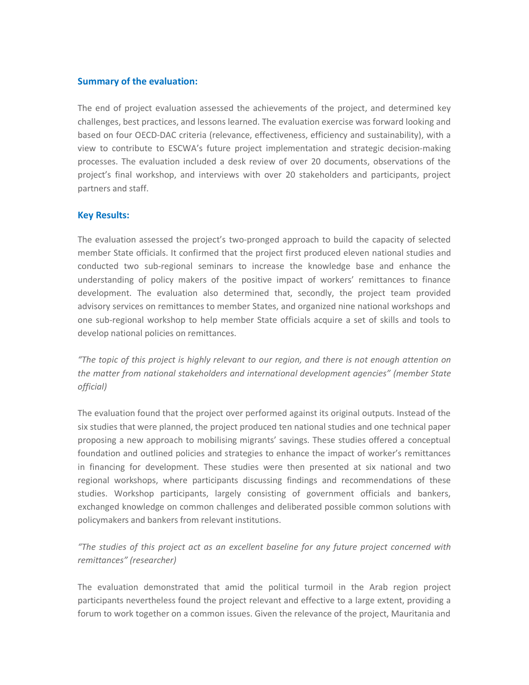## **Summary of the evaluation:**

The end of project evaluation assessed the achievements of the project, and determined key challenges, best practices, and lessons learned. The evaluation exercise was forward looking and based on four OECD-DAC criteria (relevance, effectiveness, efficiency and sustainability), with a view to contribute to ESCWA's future project implementation and strategic decision-making processes. The evaluation included a desk review of over 20 documents, observations of the project's final workshop, and interviews with over 20 stakeholders and participants, project partners and staff.

## **Key Results:**

The evaluation assessed the project's two-pronged approach to build the capacity of selected member State officials. It confirmed that the project first produced eleven national studies and conducted two sub-regional seminars to increase the knowledge base and enhance the understanding of policy makers of the positive impact of workers' remittances to finance development. The evaluation also determined that, secondly, the project team provided advisory services on remittances to member States, and organized nine national workshops and one sub-regional workshop to help member State officials acquire a set of skills and tools to develop national policies on remittances.

*"The topic of this project is highly relevant to our region, and there is not enough attention on the matter from national stakeholders and international development agencies" (member State official)* 

The evaluation found that the project over performed against its original outputs. Instead of the six studies that were planned, the project produced ten national studies and one technical paper proposing a new approach to mobilising migrants' savings. These studies offered a conceptual foundation and outlined policies and strategies to enhance the impact of worker's remittances in financing for development. These studies were then presented at six national and two regional workshops, where participants discussing findings and recommendations of these studies. Workshop participants, largely consisting of government officials and bankers, exchanged knowledge on common challenges and deliberated possible common solutions with policymakers and bankers from relevant institutions.

*"The studies of this project act as an excellent baseline for any future project concerned with remittances" (researcher)* 

The evaluation demonstrated that amid the political turmoil in the Arab region project participants nevertheless found the project relevant and effective to a large extent, providing a forum to work together on a common issues. Given the relevance of the project, Mauritania and